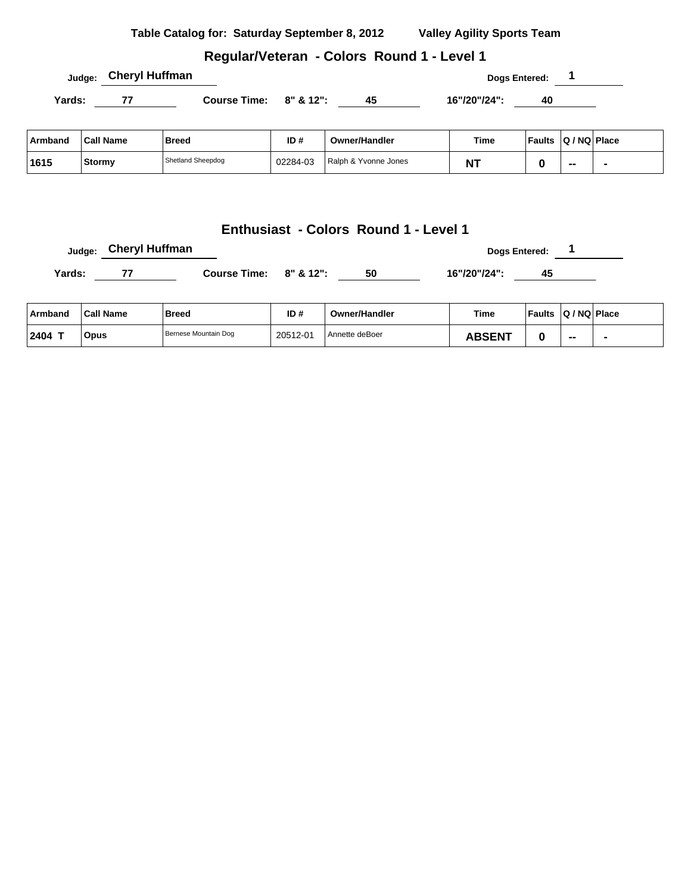|         | Judge:           | <b>Cheryl Huffman</b>  |          |                      |              | Dogs Entered: 1 |                          |  |
|---------|------------------|------------------------|----------|----------------------|--------------|-----------------|--------------------------|--|
| Yards:  | 77               | Course Time: 8" & 12": |          | 45                   | 16"/20"/24": | $\overline{40}$ |                          |  |
| Armband | <b>Call Name</b> | <b>Breed</b>           | ID#      | <b>Owner/Handler</b> | Time         | Faults          | Q / NQ Place             |  |
| 1615    | Stormy           | Shetland Sheepdog      | 02284-03 | Ralph & Yvonne Jones | <b>NT</b>    | 0               | $\overline{\phantom{a}}$ |  |

**Dogs Entered: 1 Dogs Entered: 1** 

Yards: <u>77 Course Time: 8" & 12": 50 16"/20"/24": 45</u>

**Armband Call Name Breed ID # Owner/Handler Time Faults Q / NQ Place**

**2404 T Opus** Bernese Mountain Dog 20512-01 Annette deBoer **ABSENT 0 -- -**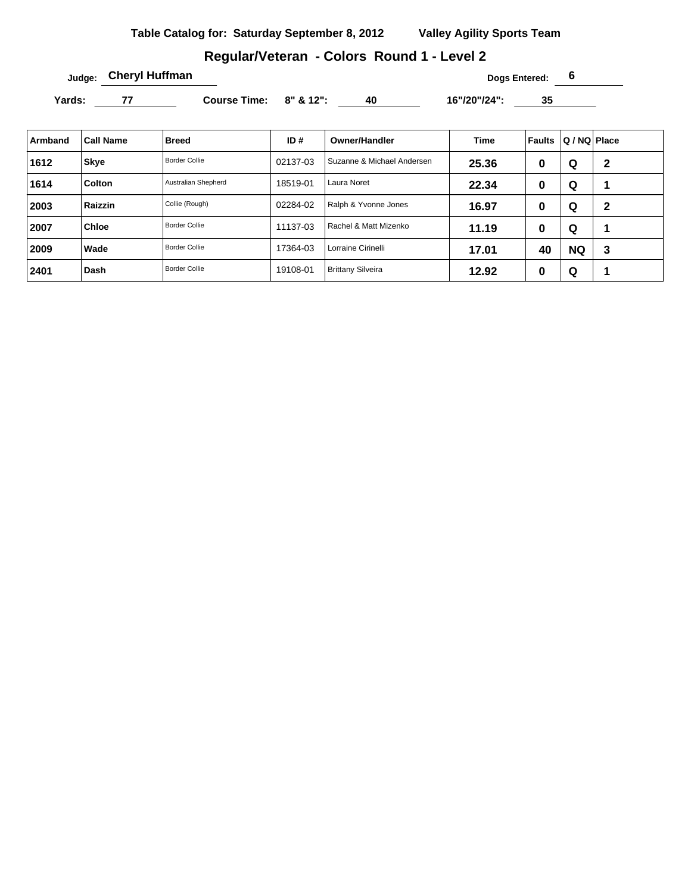# **Regular/Veteran - Colors Round 1 - Level 2**

**Judge: Cheryl Huffman Dogs Entered: 6** 

Yards: 77 Course Time: 8" & 12": 40 16"/20"/24": 35

| Armband | <b>Call Name</b> | Breed                | ID#      | <b>Owner/Handler</b>       | <b>Time</b> | Faults | Q / NQ Place |   |
|---------|------------------|----------------------|----------|----------------------------|-------------|--------|--------------|---|
| 1612    | <b>Skye</b>      | Border Collie        | 02137-03 | Suzanne & Michael Andersen | 25.36       | 0      | Q            | 2 |
| 1614    | Colton           | Australian Shepherd  | 18519-01 | Laura Noret                | 22.34       | 0      | Q            | ٠ |
| 2003    | Raizzin          | Collie (Rough)       | 02284-02 | Ralph & Yvonne Jones       | 16.97       | 0      | Q            | 2 |
| 2007    | Chloe            | <b>Border Collie</b> | 11137-03 | Rachel & Matt Mizenko      | 11.19       | 0      | Q            | ٠ |
| 2009    | Wade             | <b>Border Collie</b> | 17364-03 | Lorraine Cirinelli         | 17.01       | 40     | <b>NQ</b>    | 3 |
| 2401    | Dash             | <b>Border Collie</b> | 19108-01 | <b>Brittany Silveira</b>   | 12.92       | 0      | Q            |   |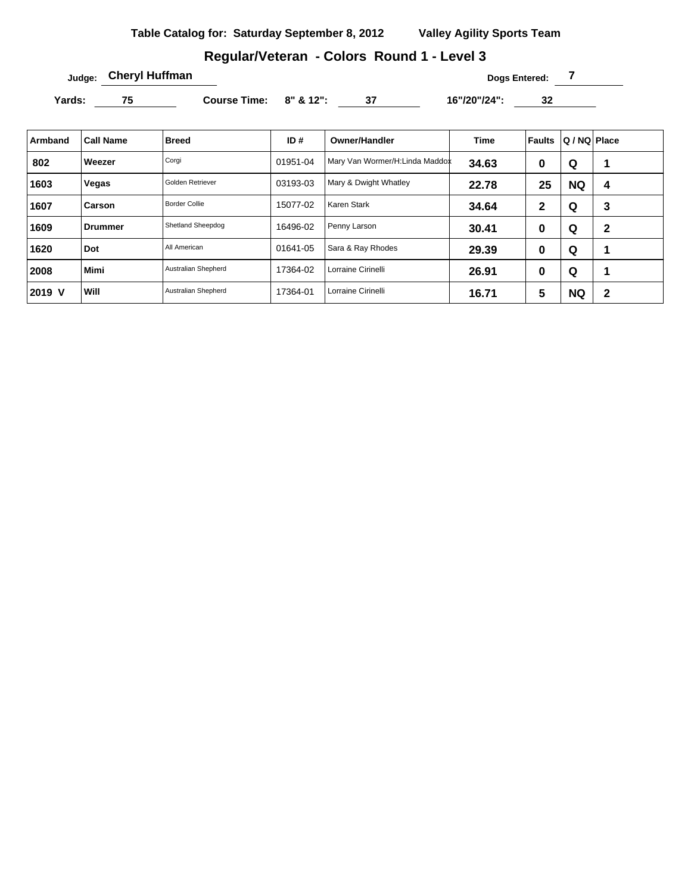# **Regular/Veteran - Colors Round 1 - Level 3**

**Dogs Entered: 7 Dogs Entered: 7 Dogs Entered: 7** 

Yards: 75 Course Time: 8" & 12": 37 16"/20"/24": 32

| Armband | <b>Call Name</b> | <b>Breed</b>         | ID#      | <b>Owner/Handler</b>           | <b>Time</b> | <b>Faults</b> | Q / NQ Place |              |
|---------|------------------|----------------------|----------|--------------------------------|-------------|---------------|--------------|--------------|
| 802     | Weezer           | Corgi                | 01951-04 | Mary Van Wormer/H:Linda Maddox | 34.63       | 0             | Q            |              |
| 1603    | Vegas            | Golden Retriever     | 03193-03 | Mary & Dwight Whatley          | 22.78       | 25            | <b>NQ</b>    | 4            |
| 1607    | Carson           | <b>Border Collie</b> | 15077-02 | Karen Stark                    | 34.64       | $\mathbf{2}$  | Q            | 3            |
| 1609    | <b>Drummer</b>   | Shetland Sheepdog    | 16496-02 | Penny Larson                   | 30.41       | 0             | Q            | $\mathbf{2}$ |
| 1620    | Dot              | All American         | 01641-05 | Sara & Ray Rhodes              | 29.39       | 0             | Q            | и            |
| 2008    | <b>Mimi</b>      | Australian Shepherd  | 17364-02 | Lorraine Cirinelli             | 26.91       | 0             | Q            | 1            |
| 2019 V  | Will             | Australian Shepherd  | 17364-01 | Lorraine Cirinelli             | 16.71       | 5             | <b>NQ</b>    | $\mathbf 2$  |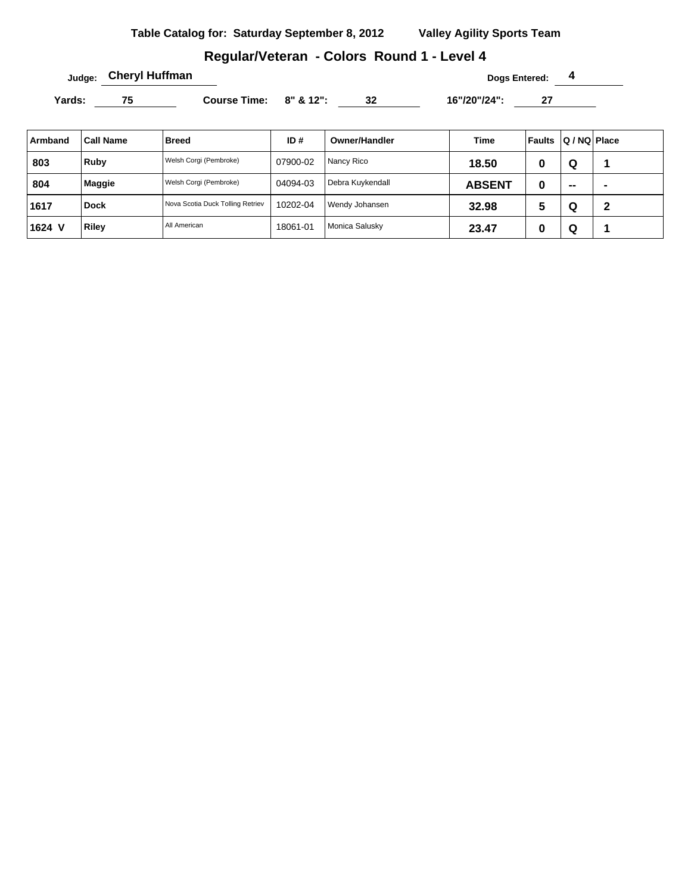## **Regular/Veteran - Colors Round 1 - Level 4**

**Judge:** Cheryl Huffman **1988** Cheryl Huffman **1988** Cheryl Huffman **1988** Cheryl Bogs Entered: 4

Yards: 75 Course Time: 8" & 12": 32 16"/20"/24": 27 \_\_\_\_

| Armband | <b>Call Name</b> | <b>Breed</b>                     | ID#      | Owner/Handler    | Time          | Faults | Q / NQ   Place           |                |
|---------|------------------|----------------------------------|----------|------------------|---------------|--------|--------------------------|----------------|
| 803     | Ruby             | Welsh Corgi (Pembroke)           | 07900-02 | Nancy Rico       | 18.50         | -U     | Q                        |                |
| 804     | <b>Maggie</b>    | Welsh Corgi (Pembroke)           | 04094-03 | Debra Kuykendall | <b>ABSENT</b> | 0      | $\overline{\phantom{a}}$ | $\blacksquare$ |
| 1617    | <b>Dock</b>      | Nova Scotia Duck Tolling Retriev | 10202-04 | Wendy Johansen   | 32.98         | 5      | Q                        | 2              |
| 1624 V  | <b>Riley</b>     | All American                     | 18061-01 | Monica Salusky   | 23.47         | υ      | Q                        |                |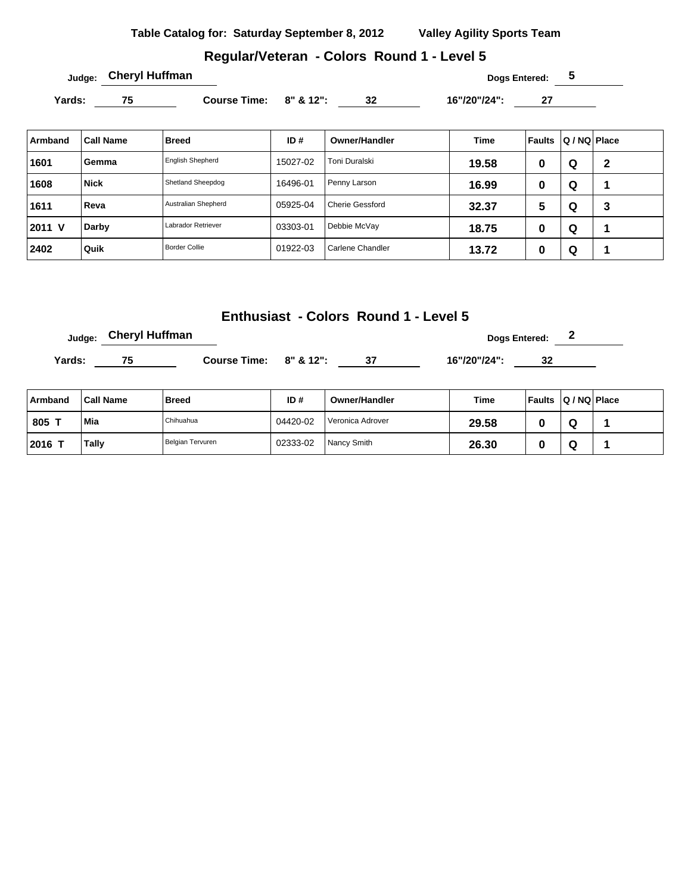#### **Regular/Veteran - Colors Round 1 - Level 5**

Yards: 75 Course Time: 8" & 12": 32 16"/20"/24": 27

| Armband | <b>Call Name</b> | <b>Breed</b>            | ID#      | <b>Owner/Handler</b>   | <b>Time</b> | Faults | Q / NQ   Place |   |
|---------|------------------|-------------------------|----------|------------------------|-------------|--------|----------------|---|
| 1601    | Gemma            | <b>English Shepherd</b> | 15027-02 | Toni Duralski          | 19.58       | 0      | Q              | 2 |
| 1608    | <b>Nick</b>      | Shetland Sheepdog       | 16496-01 | Penny Larson           | 16.99       | υ      | Q              |   |
| 1611    | Reva             | Australian Shepherd     | 05925-04 | <b>Cherie Gessford</b> | 32.37       | 5      | Q              | 3 |
| 2011 V  | Darby            | Labrador Retriever      | 03303-01 | Debbie McVay           | 18.75       | O      | Q              |   |
| 2402    | Quik             | <b>Border Collie</b>    | 01922-03 | Carlene Chandler       | 13.72       | O      | Q              |   |

# **Enthusiast - Colors Round 1 - Level 5**

**Judge:** Cheryl Huffman **Dogs Entered:** 2

Yards: 75 Course Time: 8" & 12": 37 16"/20"/24": 32

| Armband | <b>Call Name</b> | <b>Breed</b>     | ID#      | <b>Owner/Handler</b> | Time  | Faults Q / NQ Place |  |
|---------|------------------|------------------|----------|----------------------|-------|---------------------|--|
| 805 1   | Mia              | Chihuahua        | 04420-02 | Veronica Adrover     | 29.58 |                     |  |
| 2016    | Tally            | Belgian Tervuren | 02333-02 | Nancy Smith          | 26.30 |                     |  |